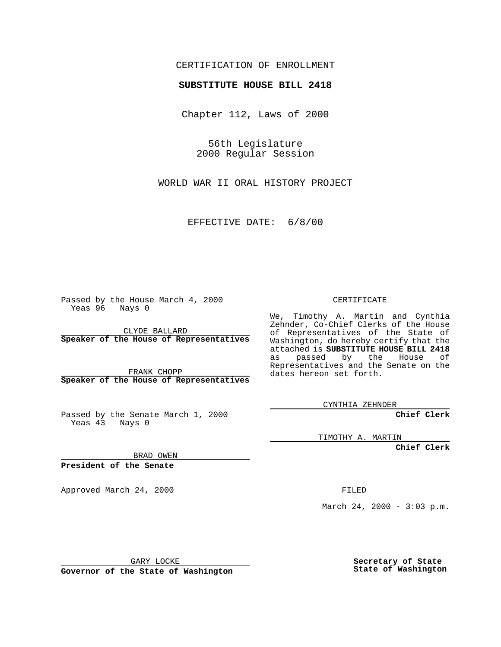## CERTIFICATION OF ENROLLMENT

## **SUBSTITUTE HOUSE BILL 2418**

Chapter 112, Laws of 2000

56th Legislature 2000 Regular Session

WORLD WAR II ORAL HISTORY PROJECT

EFFECTIVE DATE: 6/8/00

Passed by the House March 4, 2000 Yeas 96 Nays 0

CLYDE BALLARD **Speaker of the House of Representatives**

FRANK CHOPP **Speaker of the House of Representatives**

Passed by the Senate March 1, 2000 Yeas 43 Nays 0

CERTIFICATE

We, Timothy A. Martin and Cynthia Zehnder, Co-Chief Clerks of the House of Representatives of the State of Washington, do hereby certify that the attached is **SUBSTITUTE HOUSE BILL 2418** as passed by the House of Representatives and the Senate on the dates hereon set forth.

CYNTHIA ZEHNDER

**Chief Clerk**

TIMOTHY A. MARTIN

**Chief Clerk**

BRAD OWEN

**President of the Senate**

Approved March 24, 2000 FILED

March 24, 2000 - 3:03 p.m.

GARY LOCKE

**Governor of the State of Washington**

**Secretary of State State of Washington**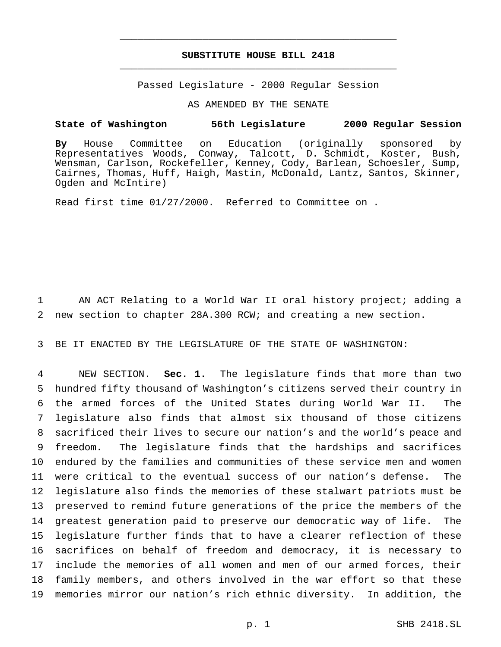## **SUBSTITUTE HOUSE BILL 2418** \_\_\_\_\_\_\_\_\_\_\_\_\_\_\_\_\_\_\_\_\_\_\_\_\_\_\_\_\_\_\_\_\_\_\_\_\_\_\_\_\_\_\_\_\_\_\_

\_\_\_\_\_\_\_\_\_\_\_\_\_\_\_\_\_\_\_\_\_\_\_\_\_\_\_\_\_\_\_\_\_\_\_\_\_\_\_\_\_\_\_\_\_\_\_

Passed Legislature - 2000 Regular Session

AS AMENDED BY THE SENATE

## **State of Washington 56th Legislature 2000 Regular Session**

**By** House Committee on Education (originally sponsored by Representatives Woods, Conway, Talcott, D. Schmidt, Koster, Bush, Wensman, Carlson, Rockefeller, Kenney, Cody, Barlean, Schoesler, Sump, Cairnes, Thomas, Huff, Haigh, Mastin, McDonald, Lantz, Santos, Skinner, Ogden and McIntire)

Read first time 01/27/2000. Referred to Committee on .

1 AN ACT Relating to a World War II oral history project; adding a 2 new section to chapter 28A.300 RCW; and creating a new section.

3 BE IT ENACTED BY THE LEGISLATURE OF THE STATE OF WASHINGTON:

 NEW SECTION. **Sec. 1.** The legislature finds that more than two hundred fifty thousand of Washington's citizens served their country in the armed forces of the United States during World War II. The legislature also finds that almost six thousand of those citizens sacrificed their lives to secure our nation's and the world's peace and freedom. The legislature finds that the hardships and sacrifices endured by the families and communities of these service men and women were critical to the eventual success of our nation's defense. The legislature also finds the memories of these stalwart patriots must be preserved to remind future generations of the price the members of the greatest generation paid to preserve our democratic way of life. The legislature further finds that to have a clearer reflection of these sacrifices on behalf of freedom and democracy, it is necessary to include the memories of all women and men of our armed forces, their family members, and others involved in the war effort so that these memories mirror our nation's rich ethnic diversity. In addition, the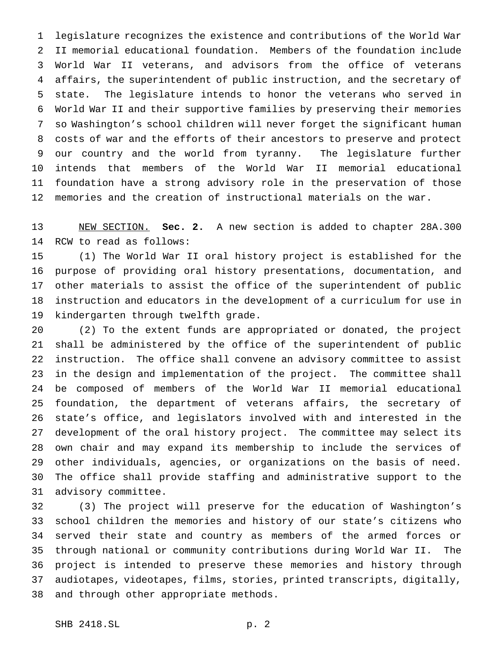legislature recognizes the existence and contributions of the World War II memorial educational foundation. Members of the foundation include World War II veterans, and advisors from the office of veterans affairs, the superintendent of public instruction, and the secretary of state. The legislature intends to honor the veterans who served in World War II and their supportive families by preserving their memories so Washington's school children will never forget the significant human costs of war and the efforts of their ancestors to preserve and protect our country and the world from tyranny. The legislature further intends that members of the World War II memorial educational foundation have a strong advisory role in the preservation of those memories and the creation of instructional materials on the war.

 NEW SECTION. **Sec. 2.** A new section is added to chapter 28A.300 RCW to read as follows:

 (1) The World War II oral history project is established for the purpose of providing oral history presentations, documentation, and other materials to assist the office of the superintendent of public instruction and educators in the development of a curriculum for use in kindergarten through twelfth grade.

 (2) To the extent funds are appropriated or donated, the project shall be administered by the office of the superintendent of public instruction. The office shall convene an advisory committee to assist in the design and implementation of the project. The committee shall be composed of members of the World War II memorial educational foundation, the department of veterans affairs, the secretary of state's office, and legislators involved with and interested in the development of the oral history project. The committee may select its own chair and may expand its membership to include the services of other individuals, agencies, or organizations on the basis of need. The office shall provide staffing and administrative support to the advisory committee.

 (3) The project will preserve for the education of Washington's school children the memories and history of our state's citizens who served their state and country as members of the armed forces or through national or community contributions during World War II. The project is intended to preserve these memories and history through audiotapes, videotapes, films, stories, printed transcripts, digitally, and through other appropriate methods.